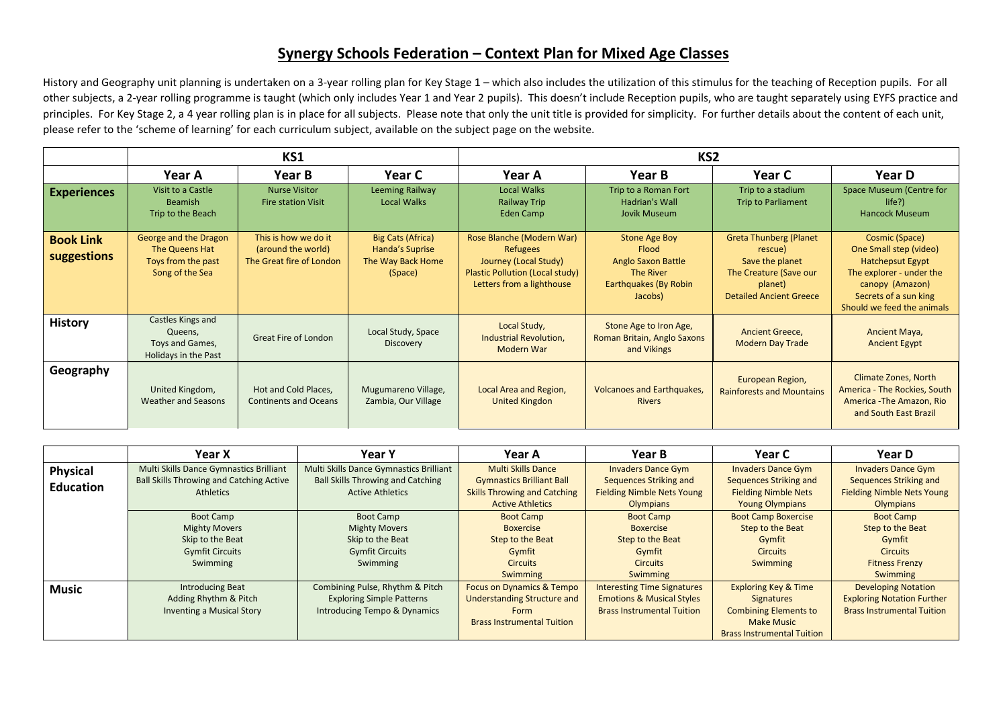## **Synergy Schools Federation – Context Plan for Mixed Age Classes**

History and Geography unit planning is undertaken on a 3-year rolling plan for Key Stage 1 – which also includes the utilization of this stimulus for the teaching of Reception pupils. For all other subjects, a 2-year rolling programme is taught (which only includes Year 1 and Year 2 pupils). This doesn't include Reception pupils, who are taught separately using EYFS practice and principles. For Key Stage 2, a 4 year rolling plan is in place for all subjects. Please note that only the unit title is provided for simplicity. For further details about the content of each unit, please refer to the 'scheme of learning' for each curriculum subject, available on the subject page on the website.

|                                 | KS1                                                                              |                                                                        |                                                                      | KS <sub>2</sub>                                                                                                                |                                                                                                      |                                                                                                                                    |                                                                                                                                                                           |
|---------------------------------|----------------------------------------------------------------------------------|------------------------------------------------------------------------|----------------------------------------------------------------------|--------------------------------------------------------------------------------------------------------------------------------|------------------------------------------------------------------------------------------------------|------------------------------------------------------------------------------------------------------------------------------------|---------------------------------------------------------------------------------------------------------------------------------------------------------------------------|
|                                 | Year A                                                                           | Year B                                                                 | Year C                                                               | Year A                                                                                                                         | Year B                                                                                               | Year C                                                                                                                             | Year D                                                                                                                                                                    |
| <b>Experiences</b>              | Visit to a Castle<br>Beamish<br>Trip to the Beach                                | <b>Nurse Visitor</b><br><b>Fire station Visit</b>                      | Leeming Railway<br><b>Local Walks</b>                                | <b>Local Walks</b><br><b>Railway Trip</b><br>Eden Camp                                                                         | Trip to a Roman Fort<br>Hadrian's Wall<br>Jovik Museum                                               | Trip to a stadium<br><b>Trip to Parliament</b>                                                                                     | Space Museum (Centre for<br>$life$ ?)<br><b>Hancock Museum</b>                                                                                                            |
| <b>Book Link</b><br>suggestions | George and the Dragon<br>The Queens Hat<br>Toys from the past<br>Song of the Sea | This is how we do it<br>(around the world)<br>The Great fire of London | Big Cats (Africa)<br>Handa's Suprise<br>The Way Back Home<br>(Space) | Rose Blanche (Modern War)<br>Refugees<br>Journey (Local Study)<br>Plastic Pollution (Local study)<br>Letters from a lighthouse | Stone Age Boy<br>Flood<br><b>Anglo Saxon Battle</b><br>The River<br>Earthquakes (By Robin<br>Jacobs) | <b>Greta Thunberg (Planet</b><br>rescue)<br>Save the planet<br>The Creature (Save our<br>planet)<br><b>Detailed Ancient Greece</b> | Cosmic (Space)<br>One Small step (video)<br><b>Hatchepsut Egypt</b><br>The explorer - under the<br>canopy (Amazon)<br>Secrets of a sun king<br>Should we feed the animals |
| <b>History</b>                  | Castles Kings and<br>Queens,<br>Toys and Games,<br>Holidays in the Past          | <b>Great Fire of London</b>                                            | Local Study, Space<br>Discovery                                      | Local Study,<br>Industrial Revolution,<br>Modern War                                                                           | Stone Age to Iron Age,<br>Roman Britain, Anglo Saxons<br>and Vikings                                 | <b>Ancient Greece,</b><br><b>Modern Day Trade</b>                                                                                  | Ancient Maya,<br><b>Ancient Egypt</b>                                                                                                                                     |
| Geography                       | United Kingdom,<br><b>Weather and Seasons</b>                                    | Hot and Cold Places,<br><b>Continents and Oceans</b>                   | Mugumareno Village,<br>Zambia, Our Village                           | Local Area and Region,<br><b>United Kingdon</b>                                                                                | <b>Volcanoes and Earthquakes,</b><br><b>Rivers</b>                                                   | European Region,<br><b>Rainforests and Mountains</b>                                                                               | Climate Zones, North<br>America - The Rockies, South<br>America - The Amazon, Rio<br>and South East Brazil                                                                |

|                  | Year X                                          | <b>Year Y</b>                            | Year A                               | Year B                               | Year C                            | Year D                            |
|------------------|-------------------------------------------------|------------------------------------------|--------------------------------------|--------------------------------------|-----------------------------------|-----------------------------------|
| <b>Physical</b>  | Multi Skills Dance Gymnastics Brilliant         | Multi Skills Dance Gymnastics Brilliant  | <b>Multi Skills Dance</b>            | <b>Invaders Dance Gym</b>            | <b>Invaders Dance Gym</b>         | <b>Invaders Dance Gym</b>         |
| <b>Education</b> | <b>Ball Skills Throwing and Catching Active</b> | <b>Ball Skills Throwing and Catching</b> | <b>Gymnastics Brilliant Ball</b>     | Sequences Striking and               | Sequences Striking and            | Sequences Striking and            |
|                  | <b>Athletics</b>                                | <b>Active Athletics</b>                  | <b>Skills Throwing and Catching</b>  | <b>Fielding Nimble Nets Young</b>    | <b>Fielding Nimble Nets</b>       | <b>Fielding Nimble Nets Young</b> |
|                  |                                                 |                                          | <b>Active Athletics</b>              | Olympians                            | <b>Young Olympians</b>            | Olympians                         |
|                  | Boot Camp                                       | <b>Boot Camp</b>                         | <b>Boot Camp</b>                     | <b>Boot Camp</b>                     | <b>Boot Camp Boxercise</b>        | <b>Boot Camp</b>                  |
|                  | <b>Mighty Movers</b>                            | <b>Mighty Movers</b>                     | <b>Boxercise</b>                     | <b>Boxercise</b>                     | Step to the Beat                  | Step to the Beat                  |
|                  | Skip to the Beat                                | Skip to the Beat                         | Step to the Beat                     | Step to the Beat                     | Gymfit                            | Gymfit                            |
|                  | <b>Gymfit Circuits</b>                          | <b>Gymfit Circuits</b>                   | Gymfit                               | Gymfit                               | <b>Circuits</b>                   | <b>Circuits</b>                   |
|                  | Swimming                                        | Swimming                                 | <b>Circuits</b>                      | <b>Circuits</b>                      | Swimming                          | <b>Fitness Frenzy</b>             |
|                  |                                                 |                                          | Swimming                             | Swimming                             |                                   | Swimming                          |
| <b>Music</b>     | <b>Introducing Beat</b>                         | Combining Pulse, Rhythm & Pitch          | <b>Focus on Dynamics &amp; Tempo</b> | <b>Interesting Time Signatures</b>   | <b>Exploring Key &amp; Time</b>   | <b>Developing Notation</b>        |
|                  | Adding Rhythm & Pitch                           | <b>Exploring Simple Patterns</b>         | Understanding Structure and          | <b>Emotions &amp; Musical Styles</b> | <b>Signatures</b>                 | <b>Exploring Notation Further</b> |
|                  | Inventing a Musical Story                       | Introducing Tempo & Dynamics             | Form                                 | <b>Brass Instrumental Tuition</b>    | <b>Combining Elements to</b>      | <b>Brass Instrumental Tuition</b> |
|                  |                                                 |                                          | <b>Brass Instrumental Tuition</b>    |                                      | <b>Make Music</b>                 |                                   |
|                  |                                                 |                                          |                                      |                                      | <b>Brass Instrumental Tuition</b> |                                   |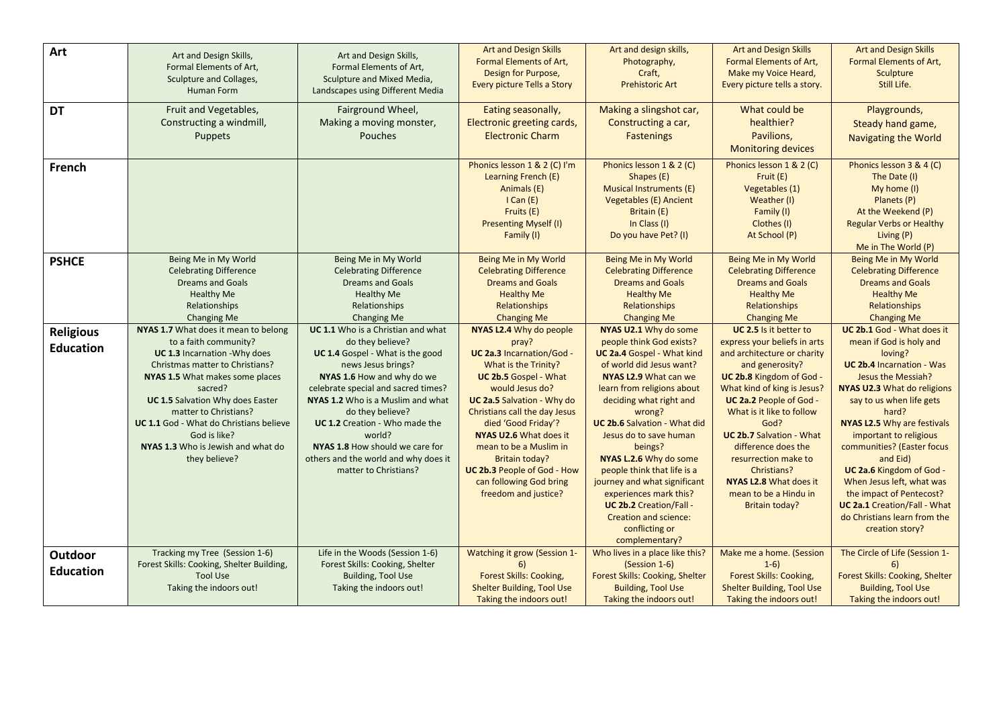| Art              |                                                       | Art and Design Skills,                                        | <b>Art and Design Skills</b>                           | Art and design skills,                                 | <b>Art and Design Skills</b>                          | <b>Art and Design Skills</b>                          |
|------------------|-------------------------------------------------------|---------------------------------------------------------------|--------------------------------------------------------|--------------------------------------------------------|-------------------------------------------------------|-------------------------------------------------------|
|                  | Art and Design Skills,<br>Formal Elements of Art,     | Formal Elements of Art,                                       | <b>Formal Elements of Art,</b>                         | Photography,                                           | Formal Elements of Art,                               | Formal Elements of Art,                               |
|                  | Sculpture and Collages,                               | Sculpture and Mixed Media,                                    | Design for Purpose,                                    | Craft,                                                 | Make my Voice Heard,                                  | Sculpture                                             |
|                  | <b>Human Form</b>                                     | Landscapes using Different Media                              | Every picture Tells a Story                            | <b>Prehistoric Art</b>                                 | Every picture tells a story.                          | Still Life.                                           |
|                  |                                                       |                                                               |                                                        |                                                        | What could be                                         |                                                       |
| <b>DT</b>        | Fruit and Vegetables,                                 | Fairground Wheel,                                             | Eating seasonally,                                     | Making a slingshot car,                                |                                                       | Playgrounds,                                          |
|                  | Constructing a windmill,                              | Making a moving monster,                                      | Electronic greeting cards,                             | Constructing a car,                                    | healthier?                                            | Steady hand game,                                     |
|                  | <b>Puppets</b>                                        | Pouches                                                       | <b>Electronic Charm</b>                                | <b>Fastenings</b>                                      | Pavilions,                                            | <b>Navigating the World</b>                           |
|                  |                                                       |                                                               |                                                        |                                                        | <b>Monitoring devices</b>                             |                                                       |
| French           |                                                       |                                                               | Phonics lesson 1 & 2 (C) I'm                           | Phonics lesson 1 & 2 (C)                               | Phonics lesson 1 & 2 (C)                              | Phonics lesson 3 & 4 (C)                              |
|                  |                                                       |                                                               | Learning French (E)                                    | Shapes (E)                                             | Fruit (E)                                             | The Date (I)                                          |
|                  |                                                       |                                                               | Animals (E)                                            | <b>Musical Instruments (E)</b>                         | Vegetables (1)                                        | My home (I)                                           |
|                  |                                                       |                                                               | ICan(E)                                                | <b>Vegetables (E) Ancient</b>                          | Weather (I)                                           | Planets (P)                                           |
|                  |                                                       |                                                               | Fruits (E)                                             | Britain (E)                                            | Family (I)                                            | At the Weekend (P)                                    |
|                  |                                                       |                                                               | <b>Presenting Myself (I)</b>                           | In Class (I)                                           | Clothes (I)                                           | <b>Regular Verbs or Healthy</b>                       |
|                  |                                                       |                                                               | Family (I)                                             | Do you have Pet? (I)                                   | At School (P)                                         | Living (P)                                            |
|                  |                                                       |                                                               |                                                        |                                                        |                                                       | Me in The World (P)<br>Being Me in My World           |
| <b>PSHCE</b>     | Being Me in My World<br><b>Celebrating Difference</b> | Being Me in My World<br><b>Celebrating Difference</b>         | Being Me in My World<br><b>Celebrating Difference</b>  | Being Me in My World<br><b>Celebrating Difference</b>  | Being Me in My World<br><b>Celebrating Difference</b> | <b>Celebrating Difference</b>                         |
|                  | <b>Dreams and Goals</b>                               | <b>Dreams and Goals</b>                                       | <b>Dreams and Goals</b>                                | <b>Dreams and Goals</b>                                | <b>Dreams and Goals</b>                               | <b>Dreams and Goals</b>                               |
|                  | <b>Healthy Me</b>                                     | <b>Healthy Me</b>                                             | <b>Healthy Me</b>                                      | <b>Healthy Me</b>                                      | <b>Healthy Me</b>                                     | <b>Healthy Me</b>                                     |
|                  | Relationships                                         | Relationships                                                 | Relationships                                          | Relationships                                          | Relationships                                         | Relationships                                         |
|                  | <b>Changing Me</b>                                    | Changing Me                                                   | <b>Changing Me</b>                                     | <b>Changing Me</b>                                     | <b>Changing Me</b>                                    | <b>Changing Me</b>                                    |
| <b>Religious</b> | NYAS 1.7 What does it mean to belong                  | UC 1.1 Who is a Christian and what                            | NYAS L2.4 Why do people                                | NYAS U2.1 Why do some                                  | UC 2.5 Is it better to                                | UC 2b.1 God - What does it                            |
|                  | to a faith community?                                 | do they believe?                                              | pray?                                                  | people think God exists?                               | express your beliefs in arts                          | mean if God is holy and                               |
| <b>Education</b> | UC 1.3 Incarnation - Why does                         | UC 1.4 Gospel - What is the good                              | UC 2a.3 Incarnation/God -                              | <b>UC 2a.4 Gospel - What kind</b>                      | and architecture or charity                           | loving?                                               |
|                  | Christmas matter to Christians?                       | news Jesus brings?                                            | What is the Trinity?                                   | of world did Jesus want?                               | and generosity?                                       | <b>UC 2b.4 Incarnation - Was</b>                      |
|                  | NYAS 1.5 What makes some places                       | NYAS 1.6 How and why do we                                    | <b>UC 2b.5 Gospel - What</b>                           | NYAS L2.9 What can we                                  | UC 2b.8 Kingdom of God -                              | Jesus the Messiah?                                    |
|                  | sacred?                                               | celebrate special and sacred times?                           | would Jesus do?                                        | learn from religions about                             | What kind of king is Jesus?                           | <b>NYAS U2.3 What do religions</b>                    |
|                  | <b>UC 1.5 Salvation Why does Easter</b>               | NYAS 1.2 Who is a Muslim and what                             | <b>UC 2a.5 Salvation - Why do</b>                      | deciding what right and                                | <b>UC 2a.2 People of God -</b>                        | say to us when life gets                              |
|                  | matter to Christians?                                 | do they believe?                                              | Christians call the day Jesus                          | wrong?                                                 | What is it like to follow                             | hard?                                                 |
|                  | UC 1.1 God - What do Christians believe               | UC 1.2 Creation - Who made the                                | died 'Good Friday'?                                    | <b>UC 2b.6 Salvation - What did</b>                    | God?                                                  | NYAS L2.5 Why are festivals                           |
|                  | God is like?                                          | world?                                                        | NYAS U2.6 What does it                                 | Jesus do to save human                                 | <b>UC 2b.7 Salvation - What</b>                       | important to religious                                |
|                  | NYAS 1.3 Who is Jewish and what do                    | NYAS 1.8 How should we care for                               | mean to be a Muslim in                                 | beings?                                                | difference does the                                   | communities? (Easter focus                            |
|                  | they believe?                                         | others and the world and why does it<br>matter to Christians? | <b>Britain today?</b>                                  | NYAS L.2.6 Why do some                                 | resurrection make to<br>Christians?                   | and Eid)                                              |
|                  |                                                       |                                                               | UC 2b.3 People of God - How<br>can following God bring | people think that life is a                            | <b>NYAS L2.8 What does it</b>                         | UC 2a.6 Kingdom of God -<br>When Jesus left, what was |
|                  |                                                       |                                                               | freedom and justice?                                   | journey and what significant<br>experiences mark this? | mean to be a Hindu in                                 | the impact of Pentecost?                              |
|                  |                                                       |                                                               |                                                        | <b>UC 2b.2</b> Creation/Fall -                         | <b>Britain today?</b>                                 | <b>UC 2a.1 Creation/Fall - What</b>                   |
|                  |                                                       |                                                               |                                                        | Creation and science:                                  |                                                       | do Christians learn from the                          |
|                  |                                                       |                                                               |                                                        | conflicting or                                         |                                                       | creation story?                                       |
|                  |                                                       |                                                               |                                                        | complementary?                                         |                                                       |                                                       |
| Outdoor          | Tracking my Tree (Session 1-6)                        | Life in the Woods (Session 1-6)                               | Watching it grow (Session 1-                           | Who lives in a place like this?                        | Make me a home. (Session                              | The Circle of Life (Session 1-                        |
|                  | Forest Skills: Cooking, Shelter Building,             | Forest Skills: Cooking, Shelter                               | 6)                                                     | (Session 1-6)                                          | $1-6)$                                                | 6)                                                    |
| <b>Education</b> | <b>Tool Use</b>                                       | <b>Building, Tool Use</b>                                     | <b>Forest Skills: Cooking,</b>                         | Forest Skills: Cooking, Shelter                        | Forest Skills: Cooking,                               | Forest Skills: Cooking, Shelter                       |
|                  | Taking the indoors out!                               | Taking the indoors out!                                       | <b>Shelter Building, Tool Use</b>                      | <b>Building, Tool Use</b>                              | <b>Shelter Building, Tool Use</b>                     | <b>Building, Tool Use</b>                             |
|                  |                                                       |                                                               | Taking the indoors out!                                | Taking the indoors out!                                | Taking the indoors out!                               | Taking the indoors out!                               |